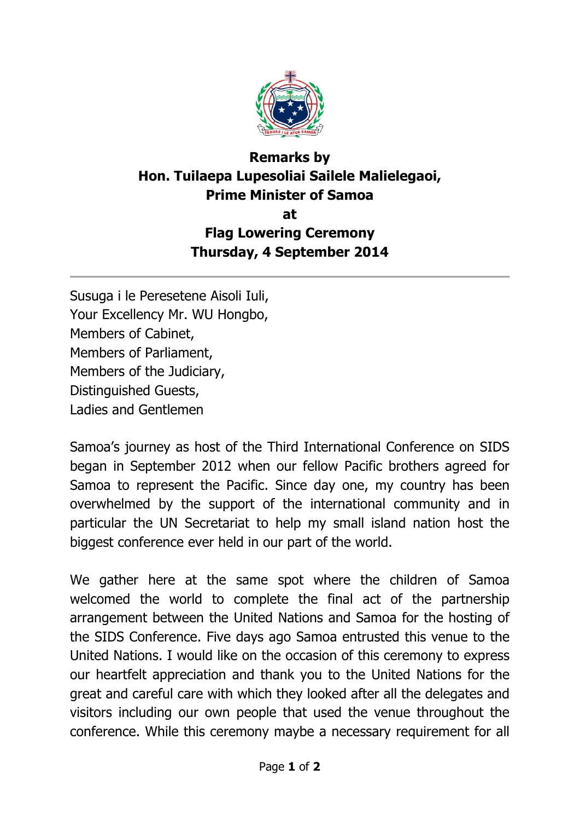

## **Remarks by Hon. Tuilaepa Lupesoliai Sailele Malielegaoi, Prime Minister of Samoa at Flag Lowering Ceremony Thursday, 4 September 2014**

Susuga i le Peresetene Aisoli Iuli, Your Excellency Mr. WU Hongbo, Members of Cabinet, Members of Parliament, Members of the Judiciary, Distinguished Guests, Ladies and Gentlemen

Samoa's journey as host of the Third International Conference on SIDS began in September 2012 when our fellow Pacific brothers agreed for Samoa to represent the Pacific. Since day one, my country has been overwhelmed by the support of the international community and in particular the UN Secretariat to help my small island nation host the biggest conference ever held in our part of the world.

We gather here at the same spot where the children of Samoa welcomed the world to complete the final act of the partnership arrangement between the United Nations and Samoa for the hosting of the SIDS Conference. Five days ago Samoa entrusted this venue to the United Nations. I would like on the occasion of this ceremony to express our heartfelt appreciation and thank you to the United Nations for the great and careful care with which they looked after all the delegates and visitors including our own people that used the venue throughout the conference. While this ceremony maybe a necessary requirement for all